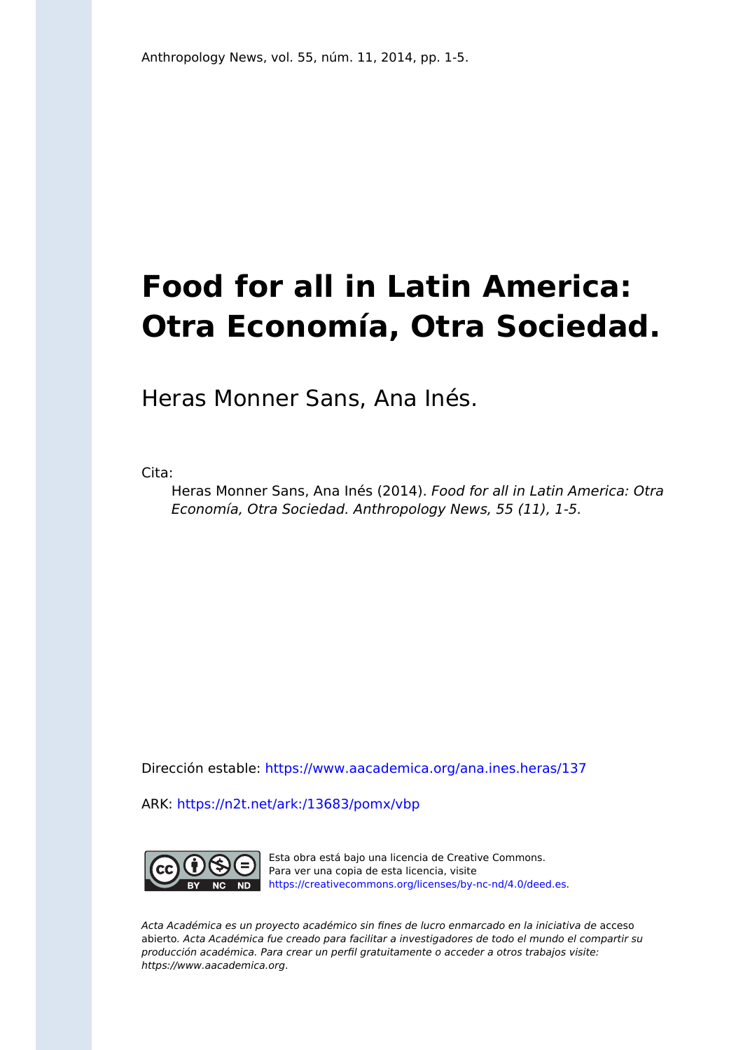## **Food for all in Latin America: Otra Economía, Otra Sociedad.**

Heras Monner Sans, Ana Inés.

Cita:

Heras Monner Sans, Ana Inés (2014). Food for all in Latin America: Otra Economía, Otra Sociedad. Anthropology News, 55 (11), 1-5.

Dirección estable:<https://www.aacademica.org/ana.ines.heras/137>

ARK: <https://n2t.net/ark:/13683/pomx/vbp>



Esta obra está bajo una licencia de Creative Commons. Para ver una copia de esta licencia, visite [https://creativecommons.org/licenses/by-nc-nd/4.0/deed.es.](https://creativecommons.org/licenses/by-nc-nd/4.0/deed.es)

Acta Académica es un proyecto académico sin fines de lucro enmarcado en la iniciativa de acceso abierto. Acta Académica fue creado para facilitar a investigadores de todo el mundo el compartir su producción académica. Para crear un perfil gratuitamente o acceder a otros trabajos visite: https://www.aacademica.org.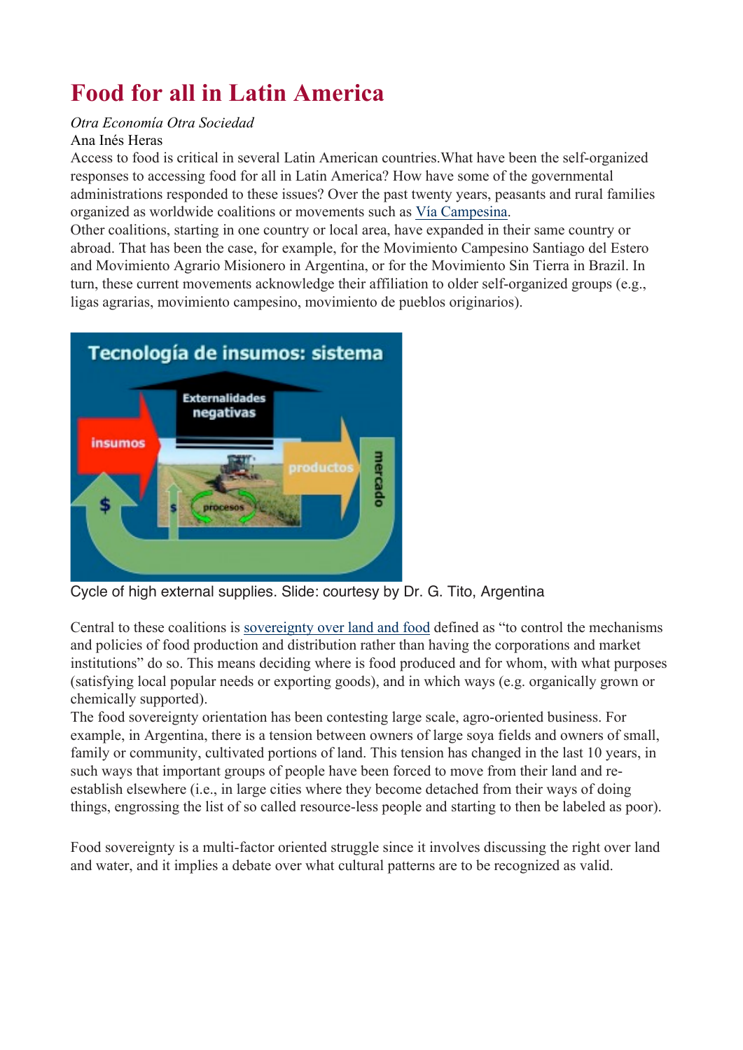## **Food for all in Latin America**

## *Otra Economía Otra Sociedad* Ana Inés Heras

Access to food is critical in several Latin American countries.What have been the self-organized responses to accessing food for all in Latin America? How have some of the governmental administrations responded to these issues? Over the past twenty years, peasants and rural families organized as worldwide coalitions or movements such as Vía Campesina.

Other coalitions, starting in one country or local area, have expanded in their same country or abroad. That has been the case, for example, for the Movimiento Campesino Santiago del Estero and Movimiento Agrario Misionero in Argentina, or for the Movimiento Sin Tierra in Brazil. In turn, these current movements acknowledge their affiliation to older self-organized groups (e.g., ligas agrarias, movimiento campesino, movimiento de pueblos originarios).



Cycle of high external supplies. Slide: courtesy by Dr. G. Tito, Argentina

Central to these coalitions is sovereignty over land and food defined as "to control the mechanisms and policies of food production and distribution rather than having the corporations and market institutions" do so. This means deciding where is food produced and for whom, with what purposes (satisfying local popular needs or exporting goods), and in which ways (e.g. organically grown or chemically supported).

The food sovereignty orientation has been contesting large scale, agro-oriented business. For example, in Argentina, there is a tension between owners of large soya fields and owners of small, family or community, cultivated portions of land. This tension has changed in the last 10 years, in such ways that important groups of people have been forced to move from their land and reestablish elsewhere (i.e., in large cities where they become detached from their ways of doing things, engrossing the list of so called resource-less people and starting to then be labeled as poor).

Food sovereignty is a multi-factor oriented struggle since it involves discussing the right over land and water, and it implies a debate over what cultural patterns are to be recognized as valid.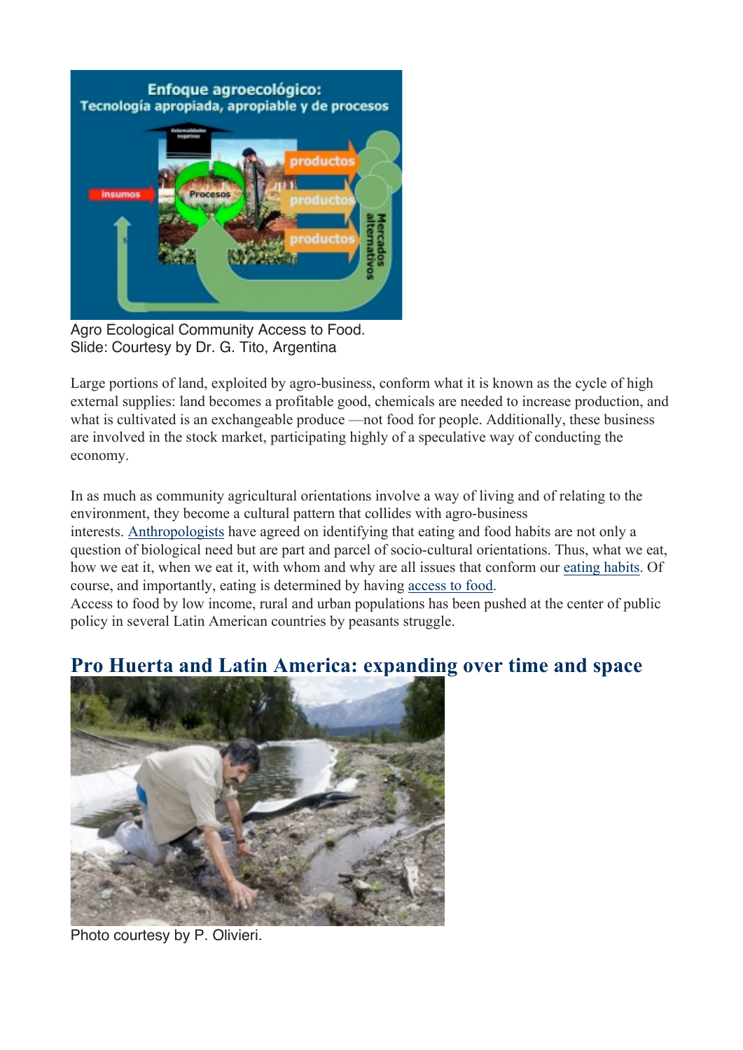

Agro Ecological Community Access to Food. Slide: Courtesy by Dr. G. Tito, Argentina

Large portions of land, exploited by agro-business, conform what it is known as the cycle of high external supplies: land becomes a profitable good, chemicals are needed to increase production, and what is cultivated is an exchangeable produce —not food for people. Additionally, these business are involved in the stock market, participating highly of a speculative way of conducting the economy.

In as much as community agricultural orientations involve a way of living and of relating to the environment, they become a cultural pattern that collides with agro-business interests. Anthropologists have agreed on identifying that eating and food habits are not only a question of biological need but are part and parcel of socio-cultural orientations. Thus, what we eat, how we eat it, when we eat it, with whom and why are all issues that conform our eating habits. Of course, and importantly, eating is determined by having access to food.

Access to food by low income, rural and urban populations has been pushed at the center of public policy in several Latin American countries by peasants struggle.

## **Pro Huerta and Latin America: expanding over time and space**



Photo courtesy by P. Olivieri.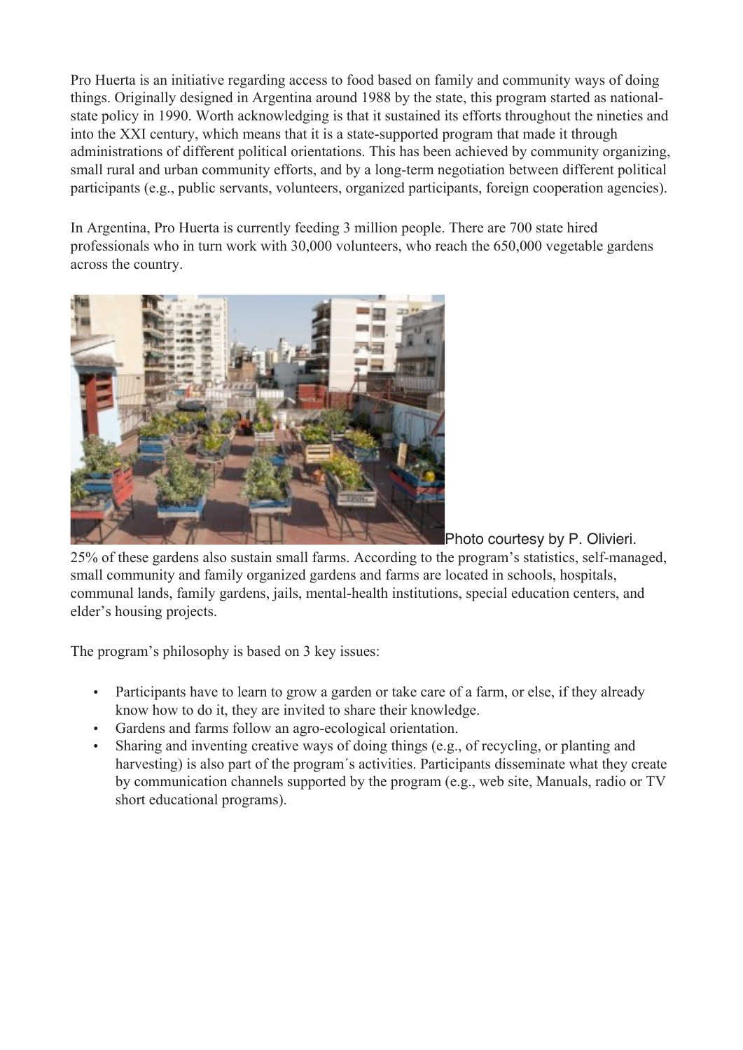Pro Huerta is an initiative regarding access to food based on family and community ways of doing things. Originally designed in Argentina around 1988 by the state, this program started as nationalstate policy in 1990. Worth acknowledging is that it sustained its efforts throughout the nineties and into the XXI century, which means that it is a state-supported program that made it through administrations of different political orientations. This has been achieved by community organizing, small rural and urban community efforts, and by a long-term negotiation between different political participants (e.g., public servants, volunteers, organized participants, foreign cooperation agencies).

In Argentina, Pro Huerta is currently feeding 3 million people. There are 700 state hired professionals who in turn work with 30,000 volunteers, who reach the 650,000 vegetable gardens across the country.



Photo courtesy by P. Olivieri. 25% of these gardens also sustain small farms. According to the program's statistics, self-managed, small community and family organized gardens and farms are located in schools, hospitals, communal lands, family gardens, jails, mental-health institutions, special education centers, and elder's housing projects.

The program's philosophy is based on 3 key issues:

- Participants have to learn to grow a garden or take care of a farm, or else, if they already know how to do it, they are invited to share their knowledge.
- Gardens and farms follow an agro-ecological orientation.
- Sharing and inventing creative ways of doing things (e.g., of recycling, or planting and harvesting) is also part of the program´s activities. Participants disseminate what they create by communication channels supported by the program (e.g., web site, Manuals, radio or TV short educational programs).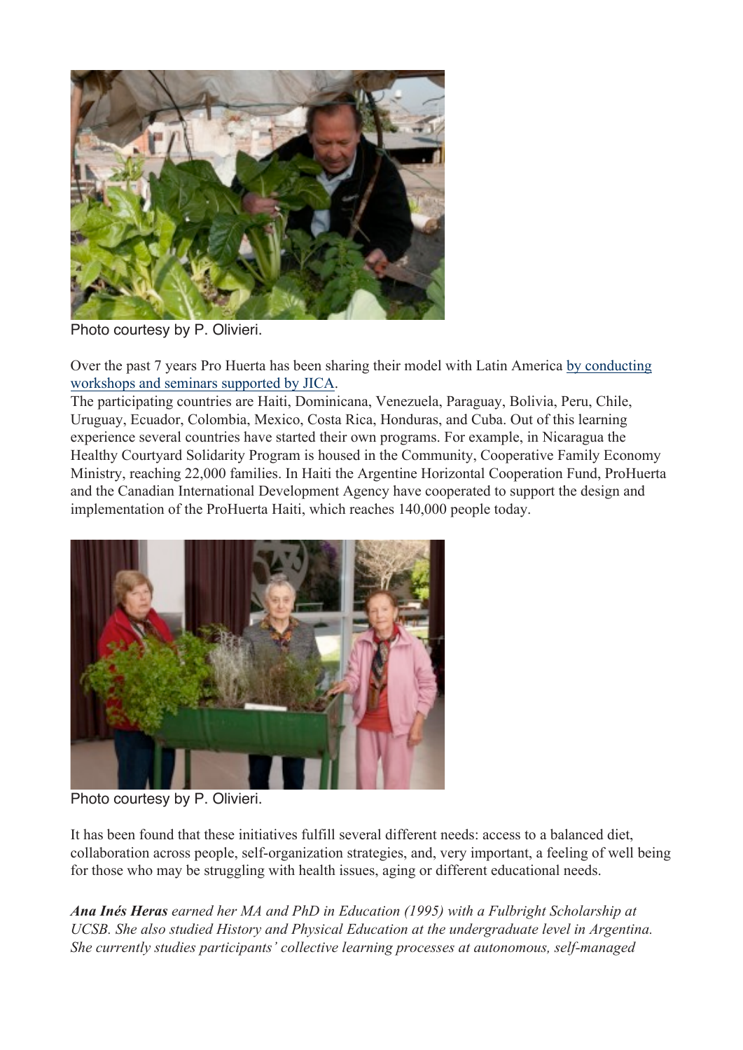

Photo courtesy by P. Olivieri.

Over the past 7 years Pro Huerta has been sharing their model with Latin America by conducting workshops and seminars supported by JICA.

The participating countries are Haiti, Dominicana, Venezuela, Paraguay, Bolivia, Peru, Chile, Uruguay, Ecuador, Colombia, Mexico, Costa Rica, Honduras, and Cuba. Out of this learning experience several countries have started their own programs. For example, in Nicaragua the Healthy Courtyard Solidarity Program is housed in the Community, Cooperative Family Economy Ministry, reaching 22,000 families. In Haiti the Argentine Horizontal Cooperation Fund, ProHuerta and the Canadian International Development Agency have cooperated to support the design and implementation of the ProHuerta Haiti, which reaches 140,000 people today.



Photo courtesy by P. Olivieri.

It has been found that these initiatives fulfill several different needs: access to a balanced diet, collaboration across people, self-organization strategies, and, very important, a feeling of well being for those who may be struggling with health issues, aging or different educational needs.

*Ana Inés Heras earned her MA and PhD in Education (1995) with a Fulbright Scholarship at UCSB. She also studied History and Physical Education at the undergraduate level in Argentina. She currently studies participants' collective learning processes at autonomous, self-managed*